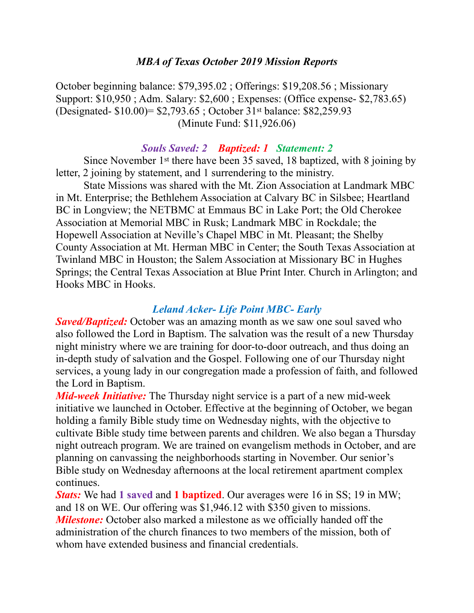#### *MBA of Texas October 2019 Mission Reports*

October beginning balance: \$79,395.02 ; Offerings: \$19,208.56 ; Missionary Support: \$10,950 ; Adm. Salary: \$2,600 ; Expenses: (Office expense- \$2,783.65) (Designated- \$10.00)= \$2,793.65 ; October 31st balance: \$82,259.93 (Minute Fund: \$11,926.06)

#### *Souls Saved: 2 Baptized: 1 Statement: 2*

 Since November 1st there have been 35 saved, 18 baptized, with 8 joining by letter, 2 joining by statement, and 1 surrendering to the ministry.

 State Missions was shared with the Mt. Zion Association at Landmark MBC in Mt. Enterprise; the Bethlehem Association at Calvary BC in Silsbee; Heartland BC in Longview; the NETBMC at Emmaus BC in Lake Port; the Old Cherokee Association at Memorial MBC in Rusk; Landmark MBC in Rockdale; the Hopewell Association at Neville's Chapel MBC in Mt. Pleasant; the Shelby County Association at Mt. Herman MBC in Center; the South Texas Association at Twinland MBC in Houston; the Salem Association at Missionary BC in Hughes Springs; the Central Texas Association at Blue Print Inter. Church in Arlington; and Hooks MBC in Hooks.

#### *Leland Acker- Life Point MBC- Early*

*Saved/Baptized:* October was an amazing month as we saw one soul saved who also followed the Lord in Baptism. The salvation was the result of a new Thursday night ministry where we are training for door-to-door outreach, and thus doing an in-depth study of salvation and the Gospel. Following one of our Thursday night services, a young lady in our congregation made a profession of faith, and followed the Lord in Baptism.

*Mid-week Initiative:* The Thursday night service is a part of a new mid-week initiative we launched in October. Effective at the beginning of October, we began holding a family Bible study time on Wednesday nights, with the objective to cultivate Bible study time between parents and children. We also began a Thursday night outreach program. We are trained on evangelism methods in October, and are planning on canvassing the neighborhoods starting in November. Our senior's Bible study on Wednesday afternoons at the local retirement apartment complex continues.

*Stats:* We had **1 saved** and **1 baptized**. Our averages were 16 in SS; 19 in MW; and 18 on WE. Our offering was \$1,946.12 with \$350 given to missions. *Milestone:* October also marked a milestone as we officially handed off the administration of the church finances to two members of the mission, both of whom have extended business and financial credentials.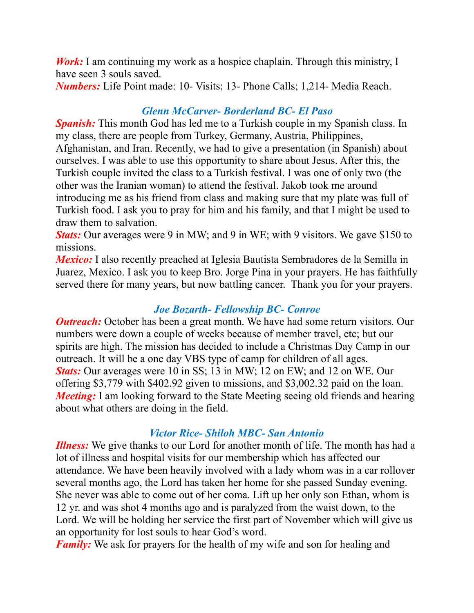*Work:* I am continuing my work as a hospice chaplain. Through this ministry, I have seen 3 souls saved.

*Numbers:* Life Point made: 10- Visits; 13- Phone Calls; 1,214- Media Reach.

### *Glenn McCarver- Borderland BC- El Paso*

*Spanish:* This month God has led me to a Turkish couple in my Spanish class. In my class, there are people from Turkey, Germany, Austria, Philippines, Afghanistan, and Iran. Recently, we had to give a presentation (in Spanish) about ourselves. I was able to use this opportunity to share about Jesus. After this, the Turkish couple invited the class to a Turkish festival. I was one of only two (the other was the Iranian woman) to attend the festival. Jakob took me around introducing me as his friend from class and making sure that my plate was full of Turkish food. I ask you to pray for him and his family, and that I might be used to draw them to salvation.

*Stats:* Our averages were 9 in MW; and 9 in WE; with 9 visitors. We gave \$150 to missions.

*Mexico:* I also recently preached at Iglesia Bautista Sembradores de la Semilla in Juarez, Mexico. I ask you to keep Bro. Jorge Pina in your prayers. He has faithfully served there for many years, but now battling cancer. Thank you for your prayers.

### *Joe Bozarth- Fellowship BC- Conroe*

*Outreach:* October has been a great month. We have had some return visitors. Our numbers were down a couple of weeks because of member travel, etc; but our spirits are high. The mission has decided to include a Christmas Day Camp in our outreach. It will be a one day VBS type of camp for children of all ages. *Stats:* Our averages were 10 in SS; 13 in MW; 12 on EW; and 12 on WE. Our offering \$3,779 with \$402.92 given to missions, and \$3,002.32 paid on the loan. *Meeting*: I am looking forward to the State Meeting seeing old friends and hearing about what others are doing in the field.

### *Victor Rice- Shiloh MBC- San Antonio*

*Illness:* We give thanks to our Lord for another month of life. The month has had a lot of illness and hospital visits for our membership which has affected our attendance. We have been heavily involved with a lady whom was in a car rollover several months ago, the Lord has taken her home for she passed Sunday evening. She never was able to come out of her coma. Lift up her only son Ethan, whom is 12 yr. and was shot 4 months ago and is paralyzed from the waist down, to the Lord. We will be holding her service the first part of November which will give us an opportunity for lost souls to hear God's word.

*Family:* We ask for prayers for the health of my wife and son for healing and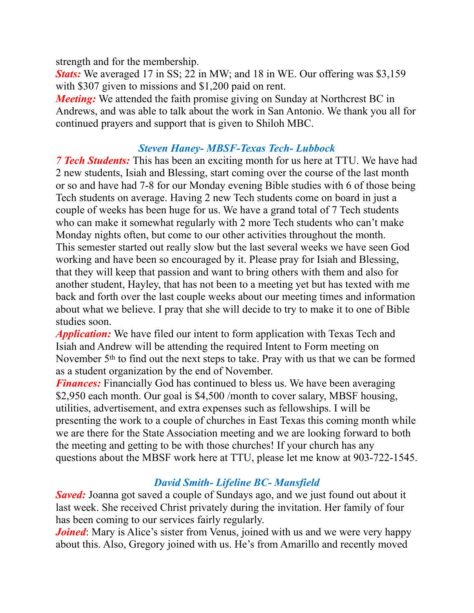strength and for the membership.

*Stats:* We averaged 17 in SS; 22 in MW; and 18 in WE. Our offering was \$3,159 with \$307 given to missions and \$1,200 paid on rent.

*Meeting:* We attended the faith promise giving on Sunday at Northcrest BC in Andrews, and was able to talk about the work in San Antonio. We thank you all for continued prayers and support that is given to Shiloh MBC.

#### *Steven Haney- MBSF-Texas Tech- Lubbock*

*7 Tech Students:* This has been an exciting month for us here at TTU. We have had 2 new students, Isiah and Blessing, start coming over the course of the last month or so and have had 7-8 for our Monday evening Bible studies with 6 of those being Tech students on average. Having 2 new Tech students come on board in just a couple of weeks has been huge for us. We have a grand total of 7 Tech students who can make it somewhat regularly with 2 more Tech students who can't make Monday nights often, but come to our other activities throughout the month. This semester started out really slow but the last several weeks we have seen God working and have been so encouraged by it. Please pray for Isiah and Blessing, that they will keep that passion and want to bring others with them and also for another student, Hayley, that has not been to a meeting yet but has texted with me back and forth over the last couple weeks about our meeting times and information about what we believe. I pray that she will decide to try to make it to one of Bible studies soon.

*Application:* We have filed our intent to form application with Texas Tech and Isiah and Andrew will be attending the required Intent to Form meeting on November 5th to find out the next steps to take. Pray with us that we can be formed as a student organization by the end of November.

*Finances:* Financially God has continued to bless us. We have been averaging \$2,950 each month. Our goal is \$4,500 /month to cover salary, MBSF housing, utilities, advertisement, and extra expenses such as fellowships. I will be presenting the work to a couple of churches in East Texas this coming month while we are there for the State Association meeting and we are looking forward to both the meeting and getting to be with those churches! If your church has any questions about the MBSF work here at TTU, please let me know at 903-722-1545.

# *David Smith- Lifeline BC- Mansfield*

*Saved:* Joanna got saved a couple of Sundays ago, and we just found out about it last week. She received Christ privately during the invitation. Her family of four has been coming to our services fairly regularly.

*Joined*: Mary is Alice's sister from Venus, joined with us and we were very happy about this. Also, Gregory joined with us. He's from Amarillo and recently moved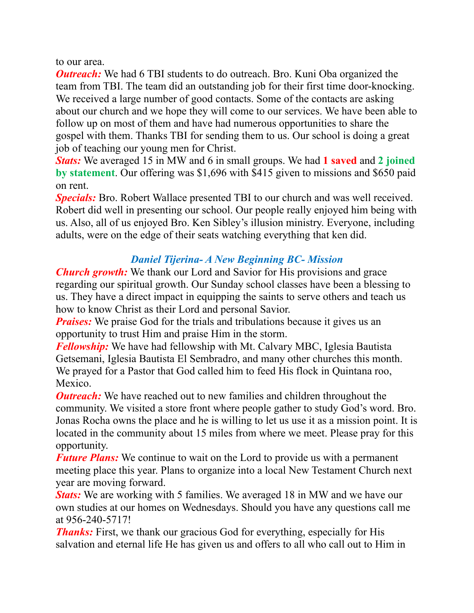to our area.

*Outreach:* We had 6 TBI students to do outreach. Bro. Kuni Oba organized the team from TBI. The team did an outstanding job for their first time door-knocking. We received a large number of good contacts. Some of the contacts are asking about our church and we hope they will come to our services. We have been able to follow up on most of them and have had numerous opportunities to share the gospel with them. Thanks TBI for sending them to us. Our school is doing a great job of teaching our young men for Christ.

*Stats:* We averaged 15 in MW and 6 in small groups. We had **1 saved** and **2 joined by statement**. Our offering was \$1,696 with \$415 given to missions and \$650 paid on rent.

*Specials:* Bro. Robert Wallace presented TBI to our church and was well received. Robert did well in presenting our school. Our people really enjoyed him being with us. Also, all of us enjoyed Bro. Ken Sibley's illusion ministry. Everyone, including adults, were on the edge of their seats watching everything that ken did.

## *Daniel Tijerina- A New Beginning BC- Mission*

*Church growth:* We thank our Lord and Savior for His provisions and grace regarding our spiritual growth. Our Sunday school classes have been a blessing to us. They have a direct impact in equipping the saints to serve others and teach us how to know Christ as their Lord and personal Savior.

*Praises:* We praise God for the trials and tribulations because it gives us an opportunity to trust Him and praise Him in the storm.

*Fellowship:* We have had fellowship with Mt. Calvary MBC, Iglesia Bautista Getsemani, Iglesia Bautista El Sembradro, and many other churches this month. We prayed for a Pastor that God called him to feed His flock in Quintana roo, Mexico.

*Outreach:* We have reached out to new families and children throughout the community. We visited a store front where people gather to study God's word. Bro. Jonas Rocha owns the place and he is willing to let us use it as a mission point. It is located in the community about 15 miles from where we meet. Please pray for this opportunity.

*Future Plans:* We continue to wait on the Lord to provide us with a permanent meeting place this year. Plans to organize into a local New Testament Church next year are moving forward.

*Stats:* We are working with 5 families. We averaged 18 in MW and we have our own studies at our homes on Wednesdays. Should you have any questions call me at 956-240-5717!

*Thanks:* First, we thank our gracious God for everything, especially for His salvation and eternal life He has given us and offers to all who call out to Him in